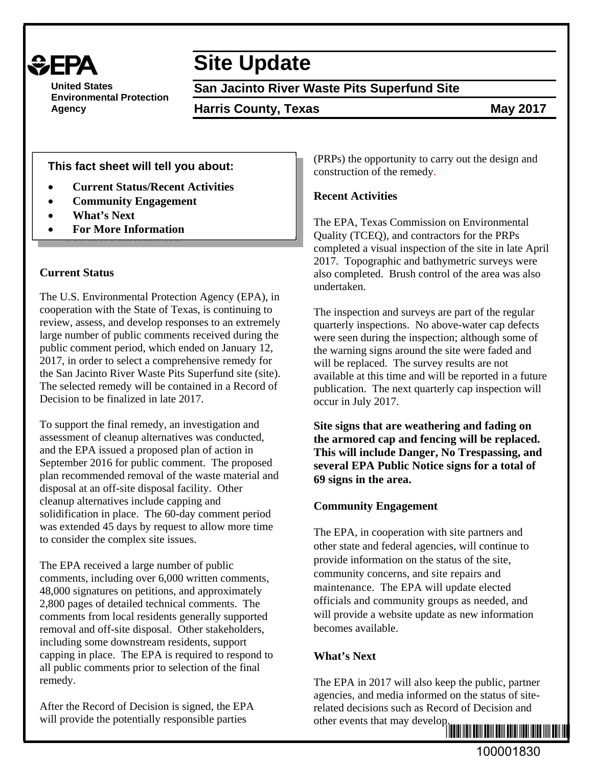

**United States Environmental Protection Agency** 

# **Site Update**

**San Jacinto River Waste Pits Superfund Site**

**Harris County, Texas May 2017** 

**This fact sheet will tell you about:**

- **Current Status/Recent Activities**
- **Community Engagement**
- **What's Next**
- **For More Information**

#### **Current Status**

The U.S. Environmental Protection Agency (EPA), in cooperation with the State of Texas, is continuing to review, assess, and develop responses to an extremely large number of public comments received during the public comment period, which ended on January 12, 2017, in order to select a comprehensive remedy for the San Jacinto River Waste Pits Superfund site (site). The selected remedy will be contained in a Record of Decision to be finalized in late 2017.

To support the final remedy, an investigation and assessment of cleanup alternatives was conducted, and the EPA issued a proposed plan of action in September 2016 for public comment. The proposed plan recommended removal of the waste material and disposal at an off-site disposal facility. Other cleanup alternatives include capping and solidification in place. The 60-day comment period was extended 45 days by request to allow more time to consider the complex site issues.

The EPA received a large number of public comments, including over 6,000 written comments, 48,000 signatures on petitions, and approximately 2,800 pages of detailed technical comments. The comments from local residents generally supported removal and off-site disposal. Other stakeholders, including some downstream residents, support capping in place. The EPA is required to respond to all public comments prior to selection of the final remedy.

After the Record of Decision is signed, the EPA will provide the potentially responsible parties

(PRPs) the opportunity to carry out the design and construction of the remedy.

# **Recent Activities**

The EPA, Texas Commission on Environmental Quality (TCEQ), and contractors for the PRPs completed a visual inspection of the site in late April 2017. Topographic and bathymetric surveys were also completed. Brush control of the area was also undertaken.

The inspection and surveys are part of the regular quarterly inspections. No above-water cap defects were seen during the inspection; although some of the warning signs around the site were faded and will be replaced. The survey results are not available at this time and will be reported in a future publication. The next quarterly cap inspection will occur in July 2017.

**Site signs that are weathering and fading on the armored cap and fencing will be replaced. This will include Danger, No Trespassing, and several EPA Public Notice signs for a total of 69 signs in the area.** 

## **Community Engagement**

The EPA, in cooperation with site partners and other state and federal agencies, will continue to provide information on the status of the site, community concerns, and site repairs and maintenance. The EPA will update elected officials and community groups as needed, and will provide a website update as new information becomes available.

## **What's Next**

The EPA in 2017 will also keep the public, partner agencies, and media informed on the status of siterelated decisions such as Record of Decision and other events that may develop.